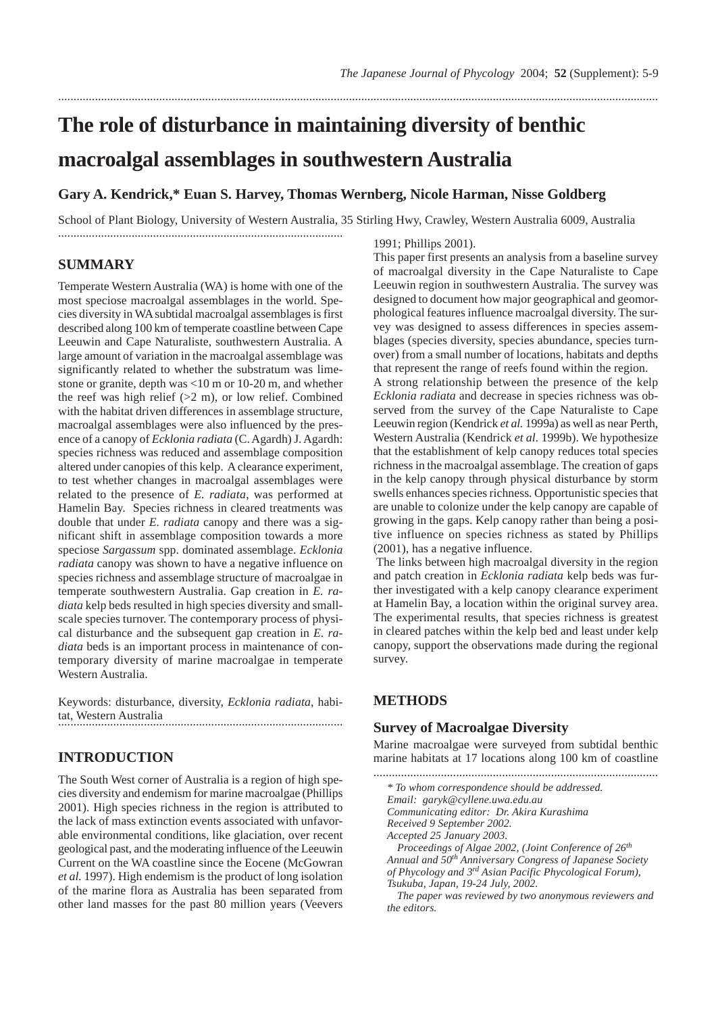# **The role of disturbance in maintaining diversity of benthic macroalgal assemblages in southwestern Australia**

## **Gary A. Kendrick,\* Euan S. Harvey, Thomas Wernberg, Nicole Harman, Nisse Goldberg**

School of Plant Biology, University of Western Australia, 35 Stirling Hwy, Crawley, Western Australia 6009, Australia

....................................................................................................................................................................................................

**SUMMARY**

Temperate Western Australia (WA) is home with one of the most speciose macroalgal assemblages in the world. Species diversity in WA subtidal macroalgal assemblages is first described along 100 km of temperate coastline between Cape Leeuwin and Cape Naturaliste, southwestern Australia. A large amount of variation in the macroalgal assemblage was significantly related to whether the substratum was limestone or granite, depth was <10 m or 10-20 m, and whether the reef was high relief  $(2 \text{ m})$ , or low relief. Combined with the habitat driven differences in assemblage structure, macroalgal assemblages were also influenced by the presence of a canopy of *Ecklonia radiata* (C. Agardh) J. Agardh: species richness was reduced and assemblage composition altered under canopies of this kelp. A clearance experiment, to test whether changes in macroalgal assemblages were related to the presence of *E. radiata*, was performed at Hamelin Bay. Species richness in cleared treatments was double that under *E. radiata* canopy and there was a significant shift in assemblage composition towards a more speciose *Sargassum* spp. dominated assemblage. *Ecklonia radiata* canopy was shown to have a negative influence on species richness and assemblage structure of macroalgae in temperate southwestern Australia. Gap creation in *E. radiata* kelp beds resulted in high species diversity and smallscale species turnover. The contemporary process of physical disturbance and the subsequent gap creation in *E. radiata* beds is an important process in maintenance of contemporary diversity of marine macroalgae in temperate Western Australia.

.............................................................................................

Keywords: disturbance, diversity, *Ecklonia radiata*, habitat, Western Australia .............................................................................................

## **INTRODUCTION**

The South West corner of Australia is a region of high species diversity and endemism for marine macroalgae (Phillips 2001). High species richness in the region is attributed to the lack of mass extinction events associated with unfavorable environmental conditions, like glaciation, over recent geological past, and the moderating influence of the Leeuwin Current on the WA coastline since the Eocene (McGowran *et al.* 1997). High endemism is the product of long isolation of the marine flora as Australia has been separated from other land masses for the past 80 million years (Veevers

1991; Phillips 2001).

This paper first presents an analysis from a baseline survey of macroalgal diversity in the Cape Naturaliste to Cape Leeuwin region in southwestern Australia. The survey was designed to document how major geographical and geomorphological features influence macroalgal diversity. The survey was designed to assess differences in species assemblages (species diversity, species abundance, species turnover) from a small number of locations, habitats and depths that represent the range of reefs found within the region.

A strong relationship between the presence of the kelp *Ecklonia radiata* and decrease in species richness was observed from the survey of the Cape Naturaliste to Cape Leeuwin region (Kendrick *et al.* 1999a) as well as near Perth, Western Australia (Kendrick *et al.* 1999b). We hypothesize that the establishment of kelp canopy reduces total species richness in the macroalgal assemblage. The creation of gaps in the kelp canopy through physical disturbance by storm swells enhances species richness. Opportunistic species that are unable to colonize under the kelp canopy are capable of growing in the gaps. Kelp canopy rather than being a positive influence on species richness as stated by Phillips (2001), has a negative influence.

The links between high macroalgal diversity in the region and patch creation in *Ecklonia radiata* kelp beds was further investigated with a kelp canopy clearance experiment at Hamelin Bay, a location within the original survey area. The experimental results, that species richness is greatest in cleared patches within the kelp bed and least under kelp canopy, support the observations made during the regional survey.

## **METHODS**

## **Survey of Macroalgae Diversity**

Marine macroalgae were surveyed from subtidal benthic marine habitats at 17 locations along 100 km of coastline

.............................................................................................

- *\* To whom correspondence should be addressed.*
- *Email: garyk@cyllene.uwa.edu.au*

*Communicating editor: Dr. Akira Kurashima Received 9 September 2002.*

*Accepted 25 January 2003.*

*Proceedings of Algae 2002, (Joint Conference of 26th Annual and 50th Anniversary Congress of Japanese Society of Phycology and 3rd Asian Pacific Phycological Forum), Tsukuba, Japan, 19-24 July, 2002.*

*The paper was reviewed by two anonymous reviewers and the editors.*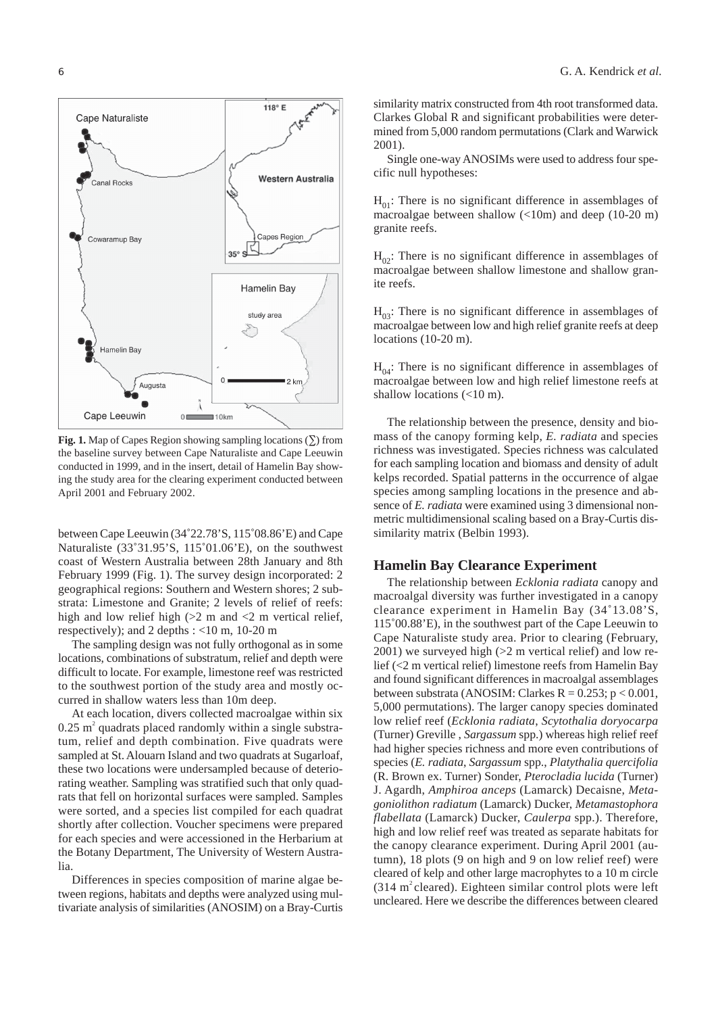

**Fig. 1.** Map of Capes Region showing sampling locations (∑) from the baseline survey between Cape Naturaliste and Cape Leeuwin conducted in 1999, and in the insert, detail of Hamelin Bay showing the study area for the clearing experiment conducted between April 2001 and February 2002.

between Cape Leeuwin (34˚22.78'S, 115˚08.86'E) and Cape Naturaliste (33˚31.95'S, 115˚01.06'E), on the southwest coast of Western Australia between 28th January and 8th February 1999 (Fig. 1). The survey design incorporated: 2 geographical regions: Southern and Western shores; 2 substrata: Limestone and Granite; 2 levels of relief of reefs: high and low relief high  $(>2 \text{ m and } < 2 \text{ m vertical relief},$ respectively); and 2 depths : <10 m, 10-20 m

The sampling design was not fully orthogonal as in some locations, combinations of substratum, relief and depth were difficult to locate. For example, limestone reef was restricted to the southwest portion of the study area and mostly occurred in shallow waters less than 10m deep.

At each location, divers collected macroalgae within six  $0.25$  m<sup>2</sup> quadrats placed randomly within a single substratum, relief and depth combination. Five quadrats were sampled at St. Alouarn Island and two quadrats at Sugarloaf, these two locations were undersampled because of deteriorating weather. Sampling was stratified such that only quadrats that fell on horizontal surfaces were sampled. Samples were sorted, and a species list compiled for each quadrat shortly after collection. Voucher specimens were prepared for each species and were accessioned in the Herbarium at the Botany Department, The University of Western Australia.

Differences in species composition of marine algae between regions, habitats and depths were analyzed using multivariate analysis of similarities (ANOSIM) on a Bray-Curtis similarity matrix constructed from 4th root transformed data. Clarkes Global R and significant probabilities were determined from 5,000 random permutations (Clark and Warwick 2001).

Single one-way ANOSIMs were used to address four specific null hypotheses:

 $H_{01}$ : There is no significant difference in assemblages of macroalgae between shallow (<10m) and deep (10-20 m) granite reefs.

 $H_{02}$ : There is no significant difference in assemblages of macroalgae between shallow limestone and shallow granite reefs.

 $H_{03}$ : There is no significant difference in assemblages of macroalgae between low and high relief granite reefs at deep locations (10-20 m).

 $H_{04}$ : There is no significant difference in assemblages of macroalgae between low and high relief limestone reefs at shallow locations (<10 m).

The relationship between the presence, density and biomass of the canopy forming kelp, *E. radiata* and species richness was investigated. Species richness was calculated for each sampling location and biomass and density of adult kelps recorded. Spatial patterns in the occurrence of algae species among sampling locations in the presence and absence of *E. radiata* were examined using 3 dimensional nonmetric multidimensional scaling based on a Bray-Curtis dissimilarity matrix (Belbin 1993).

#### **Hamelin Bay Clearance Experiment**

The relationship between *Ecklonia radiata* canopy and macroalgal diversity was further investigated in a canopy clearance experiment in Hamelin Bay (34˚13.08'S, 115˚00.88'E), in the southwest part of the Cape Leeuwin to Cape Naturaliste study area. Prior to clearing (February, 2001) we surveyed high (>2 m vertical relief) and low relief (<2 m vertical relief) limestone reefs from Hamelin Bay and found significant differences in macroalgal assemblages between substrata (ANOSIM: Clarkes  $R = 0.253$ ;  $p < 0.001$ , 5,000 permutations). The larger canopy species dominated low relief reef (*Ecklonia radiata*, *Scytothalia doryocarpa* (Turner) Greville , *Sargassum* spp.) whereas high relief reef had higher species richness and more even contributions of species (*E. radiata*, *Sargassum* spp., *Platythalia quercifolia* (R. Brown ex. Turner) Sonder, *Pterocladia lucida* (Turner) J. Agardh, *Amphiroa anceps* (Lamarck) Decaisne, *Metagoniolithon radiatum* (Lamarck) Ducker, *Metamastophora flabellata* (Lamarck) Ducker, *Caulerpa* spp.). Therefore, high and low relief reef was treated as separate habitats for the canopy clearance experiment. During April 2001 (autumn), 18 plots (9 on high and 9 on low relief reef) were cleared of kelp and other large macrophytes to a 10 m circle  $(314 \text{ m}^2 \text{ cleared})$ . Eighteen similar control plots were left uncleared. Here we describe the differences between cleared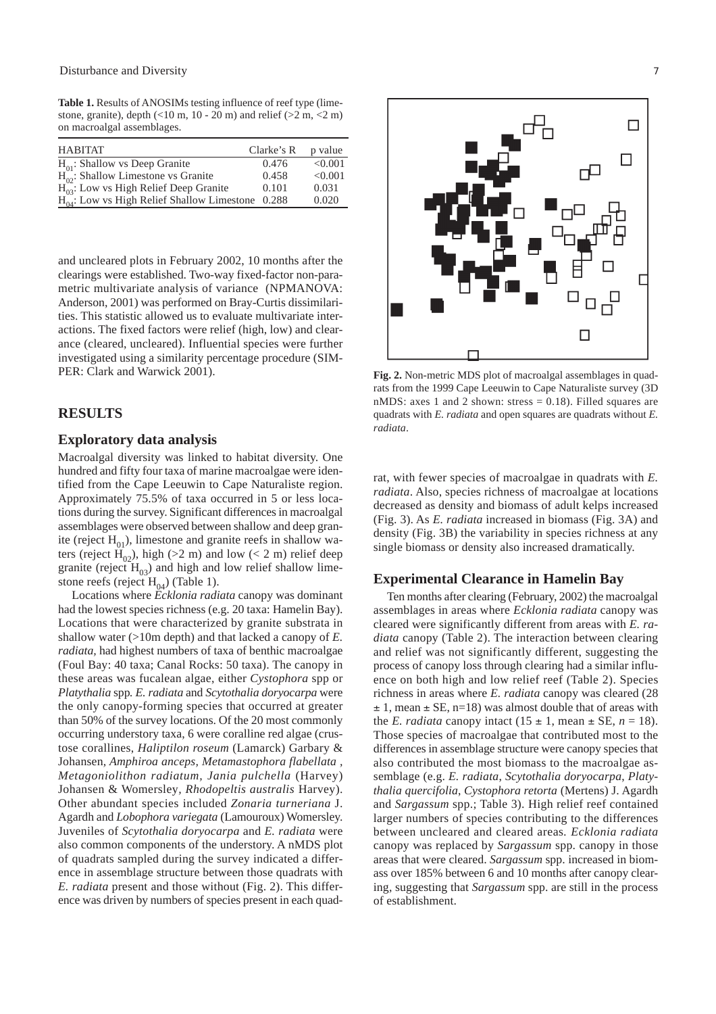**Table 1.** Results of ANOSIMs testing influence of reef type (limestone, granite), depth  $(<10 \text{ m}, 10 - 20 \text{ m})$  and relief  $(>2 \text{ m}, <2 \text{ m})$ on macroalgal assemblages.

| <b>HABITAT</b>                                        | Clarke's R | p value |
|-------------------------------------------------------|------------|---------|
| $H_{01}$ : Shallow vs Deep Granite                    | 0.476      | < 0.001 |
| $H_{02}$ : Shallow Limestone vs Granite               | 0.458      | < 0.001 |
| $H_{03}^{\infty}$ : Low vs High Relief Deep Granite   | 0.101      | 0.031   |
| $H_{04}$ : Low vs High Relief Shallow Limestone 0.288 |            | 0.020   |

and uncleared plots in February 2002, 10 months after the clearings were established. Two-way fixed-factor non-parametric multivariate analysis of variance (NPMANOVA: Anderson, 2001) was performed on Bray-Curtis dissimilarities. This statistic allowed us to evaluate multivariate interactions. The fixed factors were relief (high, low) and clearance (cleared, uncleared). Influential species were further investigated using a similarity percentage procedure (SIM-PER: Clark and Warwick 2001).

#### **RESULTS**

#### **Exploratory data analysis**

Macroalgal diversity was linked to habitat diversity. One hundred and fifty four taxa of marine macroalgae were identified from the Cape Leeuwin to Cape Naturaliste region. Approximately 75.5% of taxa occurred in 5 or less locations during the survey. Significant differences in macroalgal assemblages were observed between shallow and deep granite (reject  $H_{01}$ ), limestone and granite reefs in shallow waters (reject  $\overline{H}_{02}$ ), high (>2 m) and low (< 2 m) relief deep granite (reject  $H_{03}$ ) and high and low relief shallow limestone reefs (reject  $H_{04}$ ) (Table 1).

Locations where *Ecklonia radiata* canopy was dominant had the lowest species richness (e.g. 20 taxa: Hamelin Bay). Locations that were characterized by granite substrata in shallow water (>10m depth) and that lacked a canopy of *E. radiata,* had highest numbers of taxa of benthic macroalgae (Foul Bay: 40 taxa; Canal Rocks: 50 taxa). The canopy in these areas was fucalean algae, either *Cystophora* spp or *Platythalia* spp*. E. radiata* and *Scytothalia doryocarpa* were the only canopy-forming species that occurred at greater than 50% of the survey locations. Of the 20 most commonly occurring understory taxa, 6 were coralline red algae (crustose corallines, *Haliptilon roseum* (Lamarck) Garbary & Johansen*, Amphiroa anceps, Metamastophora flabellata , Metagoniolithon radiatum, Jania pulchella* (Harvey) Johansen & Womersley*, Rhodopeltis australis* Harvey). Other abundant species included *Zonaria turneriana* J. Agardh and *Lobophora variegata* (Lamouroux) Womersley. Juveniles of *Scytothalia doryocarpa* and *E. radiata* were also common components of the understory. A nMDS plot of quadrats sampled during the survey indicated a difference in assemblage structure between those quadrats with *E. radiata* present and those without (Fig. 2). This difference was driven by numbers of species present in each quad-



**Fig. 2.** Non-metric MDS plot of macroalgal assemblages in quadrats from the 1999 Cape Leeuwin to Cape Naturaliste survey (3D nMDS: axes 1 and 2 shown: stress = 0.18). Filled squares are quadrats with *E. radiata* and open squares are quadrats without *E. radiata*.

rat, with fewer species of macroalgae in quadrats with *E. radiata*. Also, species richness of macroalgae at locations decreased as density and biomass of adult kelps increased (Fig. 3). As *E. radiata* increased in biomass (Fig. 3A) and density (Fig. 3B) the variability in species richness at any single biomass or density also increased dramatically.

#### **Experimental Clearance in Hamelin Bay**

Ten months after clearing (February, 2002) the macroalgal assemblages in areas where *Ecklonia radiata* canopy was cleared were significantly different from areas with *E. radiata* canopy (Table 2). The interaction between clearing and relief was not significantly different, suggesting the process of canopy loss through clearing had a similar influence on both high and low relief reef (Table 2). Species richness in areas where *E. radiata* canopy was cleared (28  $\pm$  1, mean  $\pm$  SE, n=18) was almost double that of areas with the *E. radiata* canopy intact  $(15 \pm 1, \text{mean} \pm \text{SE}, n = 18)$ . Those species of macroalgae that contributed most to the differences in assemblage structure were canopy species that also contributed the most biomass to the macroalgae assemblage (e.g. *E. radiata*, *Scytothalia doryocarpa*, *Platythalia quercifolia*, *Cystophora retorta* (Mertens) J. Agardh and *Sargassum* spp.; Table 3). High relief reef contained larger numbers of species contributing to the differences between uncleared and cleared areas*. Ecklonia radiata* canopy was replaced by *Sargassum* spp. canopy in those areas that were cleared. *Sargassum* spp. increased in biomass over 185% between 6 and 10 months after canopy clearing, suggesting that *Sargassum* spp. are still in the process of establishment.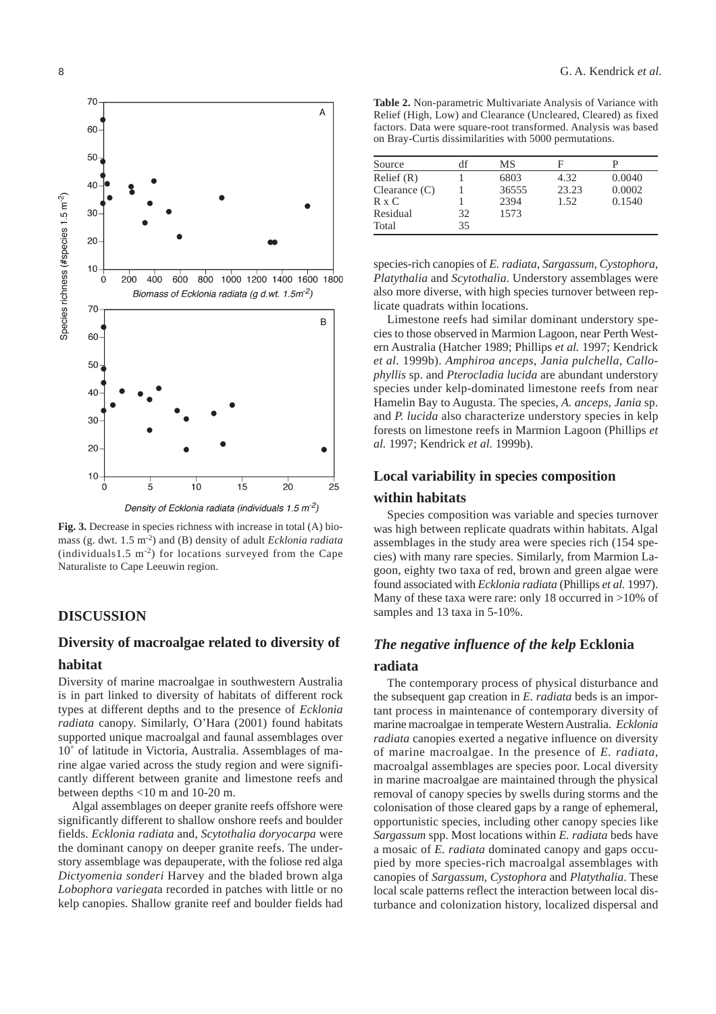

**Fig. 3.** Decrease in species richness with increase in total (A) biomass (g. dwt. 1.5 m-2) and (B) density of adult *Ecklonia radiata* (individuals1.5  $m<sup>-2</sup>$ ) for locations surveyed from the Cape Naturaliste to Cape Leeuwin region.

## **DISCUSSION**

## **Diversity of macroalgae related to diversity of habitat**

Diversity of marine macroalgae in southwestern Australia is in part linked to diversity of habitats of different rock types at different depths and to the presence of *Ecklonia radiata* canopy. Similarly, O'Hara (2001) found habitats supported unique macroalgal and faunal assemblages over 10˚ of latitude in Victoria, Australia. Assemblages of marine algae varied across the study region and were significantly different between granite and limestone reefs and between depths <10 m and 10-20 m.

Algal assemblages on deeper granite reefs offshore were significantly different to shallow onshore reefs and boulder fields. *Ecklonia radiata* and, *Scytothalia doryocarpa* were the dominant canopy on deeper granite reefs. The understory assemblage was depauperate, with the foliose red alga *Dictyomenia sonderi* Harvey and the bladed brown alga *Lobophora variegat*a recorded in patches with little or no kelp canopies. Shallow granite reef and boulder fields had

**Table 2.** Non-parametric Multivariate Analysis of Variance with Relief (High, Low) and Clearance (Uncleared, Cleared) as fixed factors. Data were square-root transformed. Analysis was based on Bray-Curtis dissimilarities with 5000 permutations.

| Source             | df | MS    |       |        |
|--------------------|----|-------|-------|--------|
| Relief (R)         |    | 6803  | 4.32  | 0.0040 |
| $C$ learance $(C)$ |    | 36555 | 23.23 | 0.0002 |
| R x C              |    | 2394  | 1.52  | 0.1540 |
| Residual           | 32 | 1573  |       |        |
| Total              | 35 |       |       |        |

species-rich canopies of *E. radiata*, *Sargassum*, *Cystophora*, *Platythalia* and *Scytothalia*. Understory assemblages were also more diverse, with high species turnover between replicate quadrats within locations.

Limestone reefs had similar dominant understory species to those observed in Marmion Lagoon, near Perth Western Australia (Hatcher 1989; Phillips *et al.* 1997; Kendrick *et al.* 1999b). *Amphiroa anceps*, *Jania pulchella*, *Callophyllis* sp. and *Pterocladia lucida* are abundant understory species under kelp-dominated limestone reefs from near Hamelin Bay to Augusta. The species, *A. anceps*, *Jania* sp. and *P. lucida* also characterize understory species in kelp forests on limestone reefs in Marmion Lagoon (Phillips *et al.* 1997; Kendrick *et al.* 1999b).

## **Local variability in species composition**

## **within habitats**

Species composition was variable and species turnover was high between replicate quadrats within habitats. Algal assemblages in the study area were species rich (154 species) with many rare species. Similarly, from Marmion Lagoon, eighty two taxa of red, brown and green algae were found associated with *Ecklonia radiata* (Phillips *et al.* 1997). Many of these taxa were rare: only 18 occurred in >10% of samples and 13 taxa in 5-10%.

## *The negative influence of the kelp* **Ecklonia**

#### **radiata**

The contemporary process of physical disturbance and the subsequent gap creation in *E. radiata* beds is an important process in maintenance of contemporary diversity of marine macroalgae in temperate Western Australia. *Ecklonia radiata* canopies exerted a negative influence on diversity of marine macroalgae. In the presence of *E. radiata,* macroalgal assemblages are species poor. Local diversity in marine macroalgae are maintained through the physical removal of canopy species by swells during storms and the colonisation of those cleared gaps by a range of ephemeral, opportunistic species, including other canopy species like *Sargassum* spp. Most locations within *E. radiata* beds have a mosaic of *E. radiata* dominated canopy and gaps occupied by more species-rich macroalgal assemblages with canopies of *Sargassum*, *Cystophora* and *Platythalia*. These local scale patterns reflect the interaction between local disturbance and colonization history, localized dispersal and